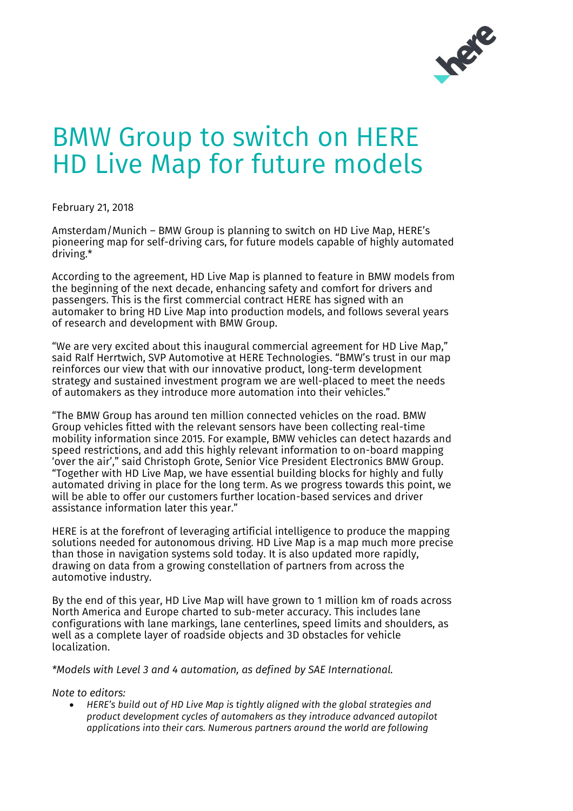

## BMW Group to switch on HERE HD Live Map for future models

February 21, 2018

Amsterdam/Munich – BMW Group is planning to switch on HD Live Map, HERE's pioneering map for self-driving cars, for future models capable of highly automated driving.\*

According to the agreement, HD Live Map is planned to feature in BMW models from the beginning of the next decade, enhancing safety and comfort for drivers and passengers. This is the first commercial contract HERE has signed with an automaker to bring HD Live Map into production models, and follows several years of research and development with BMW Group.

"We are very excited about this inaugural commercial agreement for HD Live Map," said Ralf Herrtwich, SVP Automotive at HERE Technologies. "BMW's trust in our map reinforces our view that with our innovative product, long-term development strategy and sustained investment program we are well-placed to meet the needs of automakers as they introduce more automation into their vehicles."

"The BMW Group has around ten million connected vehicles on the road. BMW Group vehicles fitted with the relevant sensors have been collecting real-time mobility information since 2015. For example, BMW vehicles can detect hazards and speed restrictions, and add this highly relevant information to on-board mapping 'over the air'," said Christoph Grote, Senior Vice President Electronics BMW Group. "Together with HD Live Map, we have essential building blocks for highly and fully automated driving in place for the long term. As we progress towards this point, we will be able to offer our customers further location-based services and driver assistance information later this year."

HERE is at the forefront of leveraging artificial intelligence to produce the mapping solutions needed for autonomous driving. HD Live Map is a map much more precise than those in navigation systems sold today. It is also updated more rapidly, drawing on data from a growing constellation of partners from across the automotive industry.

By the end of this year, HD Live Map will have grown to 1 million km of roads across North America and Europe charted to sub-meter accuracy. This includes lane configurations with lane markings, lane centerlines, speed limits and shoulders, as well as a complete layer of roadside objects and 3D obstacles for vehicle localization.

*\*Models with Level 3 and 4 automation, as defined by SAE International.*

*Note to editors:*

• *HERE's build out of HD Live Map is tightly aligned with the global strategies and product development cycles of automakers as they introduce advanced autopilot applications into their cars. Numerous partners around the world are following*